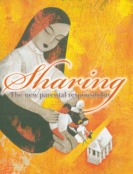

34 OCTOBER 2006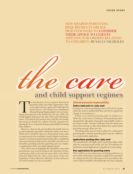### NEW SHARED PARENTING REQUIREMENTS OBLIGE PRACTITIONERS TO CONSIDER THEIR ADVICE TO CLIENTS APPLYING FOR ORDERS RELATING TO CHILDREN. BY SALLY NICHOLES



# and child support regimes

The introduction of new regimes directed at parenting orders and child support from 1 July 2006 represents new goals and challenges for family lawyers. The *Family Law Amendment* (*Shared Parental Responsibility*) Act 2006 parenting orders and child support from 1 July 2006 represents new goals and challenges for family lawyers. The *Family Law Amendment (Shared Parental Responsibility) Act* 2006 intro-*Child Support Assessment Act* 1989 (Cth) and related legislation. The federal government aims with this new family law system to change the culture of family separation by placing the focus on parents sharing responsibility for raising their children.

However, what are the practicalities for family lawyers in advocating the principles enshrined in these new laws? What advice should be given to clients about issues such as requirements for mandatory family dispute resolution, impact on existing or proposed parenting orders, negotiating shared parenting arrangements, potential restrictions on relocation, parenting issues for separating same-sex couples, or implications of the new child support regime?

This article aims to highlight the substantive issues that practitioners may need to bring to the attention of their existing (pre-1 July 2006) and new (post 1 July 2006) clients that may differ from the advice given prior to the new legislation.1 Unless otherwise indicated, section references are to the *Family Law Act* as amended.

### Shared parental responsibility

#### Orders made prior to 1 July 2006

Changes to current parenting orders will only be made where the court is satisfied that there has been a significant change in circumstances.<sup>2</sup>

If there is an interim parenting order in relation to a child, the court must, in making a final parenting order, disregard the allocation of parental responsibility made in the interim order. Section 61DB prevents the status quo factor from having an effect that defeats the equal shared parenting message of the new Act.

Parenting orders may be read as subject to a subsequent parenting plan, whereby parenting plans may be a defence to a contravention application.

#### Applications pending after 1 July 2006

The amendments will apply only to parenting orders made after the commencement of the new Act. It would thus be prudent to amend applications using the new terminology.

#### New applications for parenting orders

There will be an increased onus on legal practitioners in terms of the information and advice required to be provided to a client and also the information to be provided to the court. Clients should be advised that the laws have changed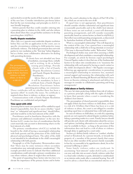and invited to revisit the merits of their matter in the context of the new laws. Consider introductory pro-forma letters that list the new terminology and principles in s60CC in user friendly language.

Inform parents that they could consider entering into a parenting plan in relation to the child, and also inform them about where they can get further assistance to develop parenting plans  $(s63DA(1))$ .

#### Family dispute resolution

The presumption of shared parental

After 1 July 2007 parents must undertake dispute resolution before they can file an application to the court, save in specific circumstances relating to child protective issues and family violence. The federal government does not wish parties to view mediation as the "first step" before litigation, but as a better, more collaborative alternative for dealing with parenting decisions.

If clients have not attended any form of mediation, encourage them, verbally and in writing, to do so before issuing proceedings. Provide clients with a list of Family Dispute Resolution Centres and Family Dispute Resolution Practitioners.

Advise that as of 1 July 2007 it will be mandatory to have a certificate from a Family Dispute Resolution Practitioner before parenting proceedings can commence.

Those certificates will say whether there has been a "genuine effort" to resolve the issues. No certificate is required where there is violence, or abuse, or urgency.

Communications with a Family Dispute Resolution Practitioner are confidential and privileged.

#### Time spent with child

Assuming that in most cases parents will be entitled to equal shared responsibility, how do we assess whether "equal time" or "substantial and significant time" should follow, and what would be in the best interests of the child?

Practitioners need to familiarise themselves with the "primary and additional considerations" in the new Act. Section 60CC creates two tiers of considerations that the court must take into account in determining what is in the best interests of a child.

The primary considerations  $(s60CC(2))$  include the benefit to the child of having a meaningful relationship with both parents and the protection of the child from physical and psychological harm. The safety of the child is not intended to be subordinate to the child's meaningful relationship with both parents.

Paragraph 50 of the Explanatory Memorandum notes that "there may be some instances where secondary consideration may outweigh primary considerations". The example provided seems to indicate that three additional considerations could outweigh a primary consideration, in a case where violence, abuse or neglect does not feature.

The point of separating these factors into two tiers is to elevate the importance of the primary factors and to better direct the court's attention to the objects of Part VII of the Act, which are set out in the new s60B.

If equal time is not appropriate, then practitioners should consider whether substantial and significant time is reasonably practicable and in the child's best interest. If these issues are not resolved, a court will determine parenting arrangements, and will consider reasonable practicality based on various factors (as listed in  $s65DAA(5)$ ) that reflect successful parenting arrangements, as discovered by Australian Institute of Family Studies research.<sup>3</sup>

What is a meaningful relationship? This will depend on the context of the case. Can a parent have a meaningful relationship with a child who is living interstate or overseas? (This issue is discussed further under "Relocation" below.)

Psychological studies may assist when assessing a child's development and what constitutes a meaningful relationship. For example, an article by forensic expert psychologist Vincent Papaleo makes it clear that one of the fundamental factors to be taken into consideration is to "maximise the relationship with each parent by having as much contact as the child's development allows".4 Mr Papaleo encourages following age-appropriate considerations in promoting a meaningful relationship to minimise loss, maintain normal support and maximise the relationship with each parent. In *Shared Parenting* Jill Barrett and Michael Green focus on theories relating to attachment and deliver key messages to consider in collaborative parenting and living arrangements.<sup>5</sup>

#### Child abuse or family violence

The new Act states protecting children from risk of violence as a primary principle (along with the rights of children to know their parents) when a court is considering the children's best interest.

The presumption of shared parental responsibility does not apply if there has been violence or child abuse, or there is a risk of it. It follows that if there has been or is a risk of violence or abuse, the court is not obliged to consider spending equal time or substantial time with both parents.

In cases of violence or child abuse, or a risk of it, separating parents are not required to attend dispute resolution before taking a parenting matter to a court. Family lawyers should still provide such clients with information about the services and options (including alternatives to court actions) that may be available to them – as long as the provision of this information does not lead to a risk of abuse or violence through delay in applying for a court order.

Section 4(1) defines family violence as "conduct, whether actual or threatened, by a person towards, or towards the property of, a member of the person's family that causes that or any other member of the person's family reasonably to fear for, or reasonably to be apprehensive about, his or her personal wellbeing or safety".

Some family violence orders are irrelevant. In ascertaining "best interests" under  $s60CC(3)(k)$ , a court can now only take into account a family violence order that is a final order (whether ex parte, defended or undefended) or an interim order made after a contested hearing. You will need to advise a client that an uncontested interim or ex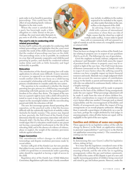parte order is of no benefit in parenting proceedings. This could have the effect of exacerbating family violence litigation in the state courts.

Where the court is satisfied that a party has knowingly made a false allegation or a false denial in the proceed ings, the court must order that party to pay some or all of the costs of the other party.

#### The court's role in conducting child related proceedings

Section 69ZN outlines the principles for conducting child related proceedings and highlights that the court must consider the needs of the child concerned and the impact that the conduct of proceedings may have on the child. The proceedings must, as far as possible, be conducted in a way that will promote cooperative and child-focused parenting by parties, and should be conducted without undue delay and with as little formality and legal technicality as possible.

#### Relocation

The introduction of the shared parenting laws will make applications to relocate more difficult. A move interstate or overseas (as opposed to an intra-metropolitan move) would conflict with the new focus on a child having a meaningful relationship with both parents, one of the primary considerations to consider under the new system.

The question to be considered is whether the shared parenting laws give primacy to a child having a meaningful relationship with both parents over the relocating parent's freedom to live where they desire. The impact of the new laws on a parent's right to move with a child will need to be tested in court; it may be that if the relocation is found to impact on the meaningful relation with the non-relocating parent and child, the relocation will fail.

The new Act encourages greater shared parenting after separation, yet the practical reality is that this becomes difficult with the statistically high levels of mobility within Australia for family reasons.6 The answer may depend on how, precisely, the Full Court of the Family Court determines that the new provisions inter-relate with s60CA (formerly  $s65E$ ). On the face of the Act, as amended, one would argue that if a relocation would result in one parent not having a meaningful involvement in the life of the relocating child, and in the absence of evidence of violence, abuse or neglect, the weight of the statutory provisions indicate against relocation.<sup>7</sup>

#### Hague Convention

The amendments reflect changes in child related terminology and dispute resolution provisions made by recent reform.

Section 111B(4)(d) of the *Family Law Act* now provides that subject to any court order in force, a person with whom a child is to spend time or communicate under a parenting order should be regarded as having a right of access to the child.

Regulation 26(2) of the *Family Law (Child Abduction Convention) Regulations* 1986 states that a family consultant may include, in addition to the matters required to be included in the report, any other matter that relates to the care, welfare or development of the child.

In advising clients who have a child with a person of international connections or where there are risks of flight, ensure that the client has a right of custody under  $sin(B(4))$ . A mere order to spend

time with or communicate will not amount to a right of custody to seek the return of a wrongfully removed or retained child.

#### Property cases

There has been no change to the sections of the *Family Law Act* relating to property save in respect of case guardians (Part 6.3 as r6.08). The following is by way of speculation.

Given the emphasis on family violence, judgments such as *Kennon*8 and *Marando*9 (which both assess the impact of persistent family violence in property cases) may be revisited in light of the new laws. The Full Court decision of *Kennon* commented on the impact of family violence in respect of  $s_{75}(2)$  factors where the suffering caused by violence can have a tangible impact on future financial resources and needs. *Marando* was a single judgment which took into account the onerous nature of contributions  $(s79(4))$  to the family as parent and homemaker made by a wife who was subjected to continuous family violence over a lengthy marriage.

How much of an adjustment will be made in property division on the basis of the children's living arrangements under the new regime? What percentage adjustment will be made if, aside from the issue of where children live, all other considerations in respect of contributions and s75(2) factors offset one another? Concepts such as shared responsibility and the encouragement of flexibility and fluidity of arrangements may dilute the impact of living arrangements on an overall property settlement. Although there is naturally a great degree of subjectivity on a case by case basis, perhaps the weight attributed by trial judges in assessing property, when all other factors are equal, will be negligible in the spirit of the new regime.

#### Families and children of same sex couples

There appears to be no legislative redress of the calls for change by Brown J in *Re Mark: an application relating to parental responsibilities* <sup>10</sup> and Guest J in *Re Patrick (an application concerning contact)*.11 The conundrum in existing case law remains.

#### *Re Patrick*

In determining this case Guest J called for legislative reform, stating  $(at 653)$ :

"It is time that the legislature considered some of the matters raised, including the nature of parenthood, the meaning of family, and the role of the law in regulating arrangements within the gay and lesbian community. The child at the centre of this dispute is part of a new and rapidly increasing generation of children being conceived and raised by gay and lesbian parents. However, under the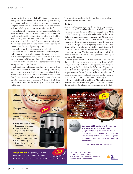current legislative regime, Patrick's biological and social reality remains unrecognised. Whilst the legislature may face unique challenges in drafting reform that acknowledges and protects children such as Patrick and the family units to which they belong, this is not a reason for inaction".

Guest J identified the need for enactment of state laws to make available to lesbian women and their known donors a well-regulated artificial insemination scheme with all the medical safeguards available to heterosexual couples. He further suggested that s60(H) be amended to safeguard the interests of co-parents and known "sperm donors" in contested residency and parenting cases.

Guest J quoted the following statistics (at 651):

"Gay and lesbian families are a relatively newly recognised and, it seems, growing phenomenon in Australian society. While they represent a minority of families, surveys of lesbian women in NSW have found that approximately 20 per cent have children and over 40 per cent are considering having children in the future<sup>12</sup> . . .

"Although gay and lesbian families are increasing they cannot be characterisd as an homogenous group for they may take many forms. Children conceived via artificial insemination may have only two mothers, others such as Patrick may have two mothers and a father, and others may have two mothers and two fathers. Within each of these family forms there may be a variety of involvement in the child's life."

The families considered by the new laws purely relate to the conservative nuclear family.

#### *Re Mark*

At issue in this case was who should have responsibility for the care, welfare and development of Mark, a one-yearold child born in the United States. The applicants, Mr X and Mr Y, were a gay couple who had travelled to the United States to arrange a surrogacy agreement with Mr and Ms S. In 1992 Ms S gave birth to Mark, who was conceived from a donor egg from an anonymous donor and the sperm of Mr X according to the surrogacy agreement. Mr X was listed as the child's father on his birth certificate, with Ms S listed as the child's mother. Under the surrogacy agreement Mr and Ms S agreed to relinquish all their rights as parents of the child. This agreement is not legally recognised in Australia.

Brown J found that Mr Y was clearly not a parent of the child, but rather was a person concerned with Mark's care, welfare and development. Disagreeing with Guest J's reasoning in *Re Patrick* that the definition of "parent" is dependent on state legislation recognising the parental role of sperm donors, Brown J determined that the definition of "parent" within the Act is broad. She suggested it was open to find Mr X a parent, but refrained from doing so.

Brown J noted that the realities of Mark's life indicated that Mr X was his parent. She granted a parenting order on the basis of Mr X's role as a person concerned with Mark's